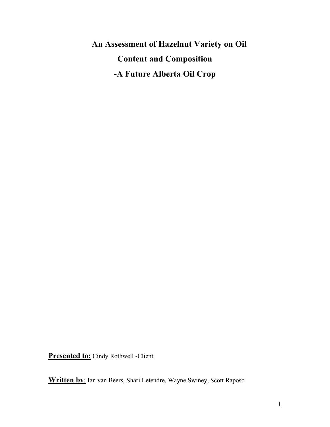**An Assessment of Hazelnut Variety on Oil Content and Composition -A Future Alberta Oil Crop**

**Presented to:** Cindy Rothwell -Client

**Written by**: Ian van Beers, Shari Letendre, Wayne Swiney, Scott Raposo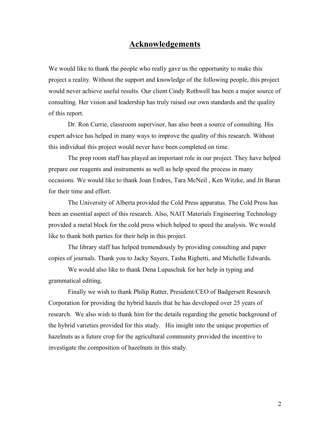## **Acknowledgements**

We would like to thank the people who really gave us the opportunity to make this project a reality. Without the support and knowledge of the following people, this project would never achieve useful results. Our client Cindy Rothwell has been a major source of consulting. Her vision and leadership has truly raised our own standards and the quality of this report.

Dr. Ron Currie, classroom supervisor, has also been a source of consulting. His expert advice has helped in many ways to improve the quality of this research. Without this individual this project would never have been completed on time.

The prep room staff has played an important role in our project. They have helped prepare our reagents and instruments as well as help speed the process in many occasions. We would like to thank Joan Endres, Tara McNeil , Ken Witzke, and Jit Baran for their time and effort.

The University of Alberta provided the Cold Press apparatus. The Cold Press has been an essential aspect of this research. Also, NAIT Materials Engineering Technology provided a metal block for the cold press which helped to speed the analysis. We would like to thank both parties for their help in this project.

The library staff has helped tremendously by providing consulting and paper copies of journals. Thank you to Jacky Sayers, Tasha Righetti, and Michelle Edwards.

We would also like to thank Dena Lupaschuk for her help in typing and grammatical editing.

Finally we wish to thank Philip Rutter, President/CEO of Badgersett Research Corporation for providing the hybrid hazels that he has developed over 25 years of research. We also wish to thank him for the details regarding the genetic background of the hybrid varieties provided for this study. His insight into the unique properties of hazelnuts as a future crop for the agricultural community provided the incentive to investigate the composition of hazelnuts in this study.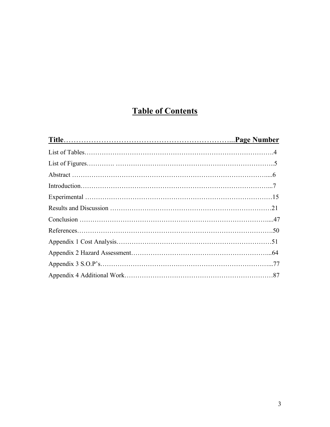# **Table of Contents**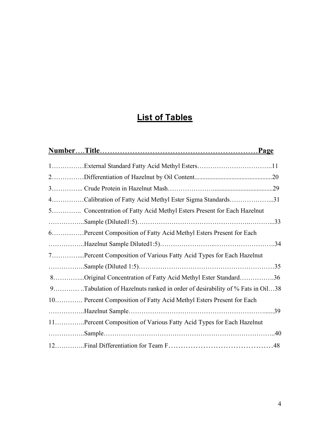# **List of Tables**

| 4Calibration of Fatty Acid Methyl Ester Sigma Standards31                   |     |
|-----------------------------------------------------------------------------|-----|
| 5 Concentration of Fatty Acid Methyl Esters Present for Each Hazelnut       |     |
|                                                                             |     |
| 6.    Percent Composition of Fatty Acid Methyl Esters Present for Each      |     |
|                                                                             | .34 |
| 7Percent Composition of Various Fatty Acid Types for Each Hazelnut          |     |
|                                                                             |     |
| 8Original Concentration of Fatty Acid Methyl Ester Standard36               |     |
| 9Tabulation of Hazelnuts ranked in order of desirability of % Fats in Oil38 |     |
| 10 Percent Composition of Fatty Acid Methyl Esters Present for Each         |     |
|                                                                             |     |
| 11Percent Composition of Various Fatty Acid Types for Each Hazelnut         |     |
|                                                                             | .40 |
|                                                                             |     |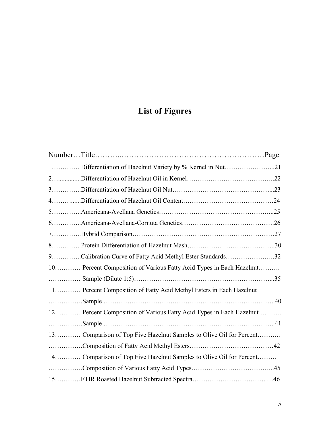# **List of Figures**

| 1 Differentiation of Hazelnut Variety by % Kernel in Nut21          |  |
|---------------------------------------------------------------------|--|
|                                                                     |  |
|                                                                     |  |
|                                                                     |  |
|                                                                     |  |
|                                                                     |  |
|                                                                     |  |
|                                                                     |  |
| 9Calibration Curve of Fatty Acid Methyl Ester Standards32           |  |
| 10 Percent Composition of Various Fatty Acid Types in Each Hazelnut |  |
|                                                                     |  |
| 11 Percent Composition of Fatty Acid Methyl Esters in Each Hazelnut |  |
|                                                                     |  |
| 12 Percent Composition of Various Fatty Acid Types in Each Hazelnut |  |
|                                                                     |  |
| 13 Comparison of Top Five Hazelnut Samples to Olive Oil for Percent |  |
|                                                                     |  |
| 14 Comparison of Top Five Hazelnut Samples to Olive Oil for Percent |  |
|                                                                     |  |
|                                                                     |  |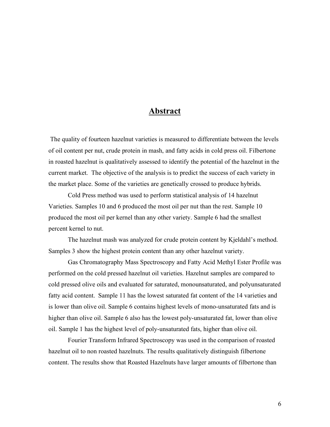### **Abstract**

The quality of fourteen hazelnut varieties is measured to differentiate between the levels of oil content per nut, crude protein in mash, and fatty acids in cold press oil. Filbertone in roasted hazelnut is qualitatively assessed to identify the potential of the hazelnut in the current market. The objective of the analysis is to predict the success of each variety in the market place. Some of the varieties are genetically crossed to produce hybrids.

Cold Press method was used to perform statistical analysis of 14 hazelnut Varieties. Samples 10 and 6 produced the most oil per nut than the rest. Sample 10 produced the most oil per kernel than any other variety. Sample 6 had the smallest percent kernel to nut.

The hazelnut mash was analyzed for crude protein content by Kjeldahl's method. Samples 3 show the highest protein content than any other hazelnut variety.

Gas Chromatography Mass Spectroscopy and Fatty Acid Methyl Ester Profile was performed on the cold pressed hazelnut oil varieties. Hazelnut samples are compared to cold pressed olive oils and evaluated for saturated, monounsaturated, and polyunsaturated fatty acid content. Sample 11 has the lowest saturated fat content of the 14 varieties and is lower than olive oil. Sample 6 contains highest levels of mono-unsaturated fats and is higher than olive oil. Sample 6 also has the lowest poly-unsaturated fat, lower than olive oil. Sample 1 has the highest level of poly-unsaturated fats, higher than olive oil.

Fourier Transform Infrared Spectroscopy was used in the comparison of roasted hazelnut oil to non roasted hazelnuts. The results qualitatively distinguish filbertone content. The results show that Roasted Hazelnuts have larger amounts of filbertone than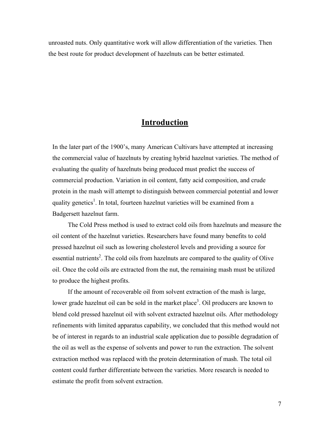unroasted nuts. Only quantitative work will allow differentiation of the varieties. Then the best route for product development of hazelnuts can be better estimated.

# **Introduction**

In the later part of the 1900's, many American Cultivars have attempted at increasing the commercial value of hazelnuts by creating hybrid hazelnut varieties. The method of evaluating the quality of hazelnuts being produced must predict the success of commercial production. Variation in oil content, fatty acid composition, and crude protein in the mash will attempt to distinguish between commercial potential and lower quality genetics<sup>1</sup>. In total, fourteen hazelnut varieties will be examined from a Badgersett hazelnut farm.

The Cold Press method is used to extract cold oils from hazelnuts and measure the oil content of the hazelnut varieties. Researchers have found many benefits to cold pressed hazelnut oil such as lowering cholesterol levels and providing a source for essential nutrients<sup>2</sup>. The cold oils from hazelnuts are compared to the quality of Olive oil. Once the cold oils are extracted from the nut, the remaining mash must be utilized to produce the highest profits.

If the amount of recoverable oil from solvent extraction of the mash is large, lower grade hazelnut oil can be sold in the market place<sup>3</sup>. Oil producers are known to blend cold pressed hazelnut oil with solvent extracted hazelnut oils. After methodology refinements with limited apparatus capability, we concluded that this method would not be of interest in regards to an industrial scale application due to possible degradation of the oil as well as the expense of solvents and power to run the extraction. The solvent extraction method was replaced with the protein determination of mash. The total oil content could further differentiate between the varieties. More research is needed to estimate the profit from solvent extraction.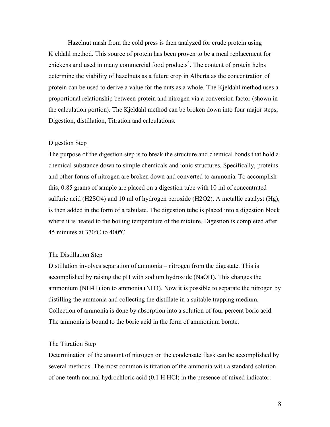Hazelnut mash from the cold press is then analyzed for crude protein using Kjeldahl method. This source of protein has been proven to be a meal replacement for chickens and used in many commercial food products 4 . The content of protein helps determine the viability of hazelnuts as a future crop in Alberta as the concentration of protein can be used to derive a value for the nuts as a whole. The Kjeldahl method uses a proportional relationship between protein and nitrogen via a conversion factor (shown in the calculation portion). The Kjeldahl method can be broken down into four major steps; Digestion, distillation, Titration and calculations.

#### Digestion Step

The purpose of the digestion step is to break the structure and chemical bonds that hold a chemical substance down to simple chemicals and ionic structures. Specifically, proteins and other forms of nitrogen are broken down and converted to ammonia. To accomplish this, 0.85 grams of sample are placed on a digestion tube with 10 ml of concentrated sulfuric acid (H2SO4) and 10 ml of hydrogen peroxide (H2O2). A metallic catalyst (Hg), is then added in the form of a tabulate. The digestion tube is placed into a digestion block where it is heated to the boiling temperature of the mixture. Digestion is completed after 45 minutes at 370ºC to 400ºC.

#### The Distillation Step

Distillation involves separation of ammonia – nitrogen from the digestate. This is accomplished by raising the pH with sodium hydroxide (NaOH). This changes the ammonium (NH4+) ion to ammonia (NH3). Now it is possible to separate the nitrogen by distilling the ammonia and collecting the distillate in a suitable trapping medium. Collection of ammonia is done by absorption into a solution of four percent boric acid. The ammonia is bound to the boric acid in the form of ammonium borate.

#### The Titration Step

Determination of the amount of nitrogen on the condensate flask can be accomplished by several methods. The most common is titration of the ammonia with a standard solution of one-tenth normal hydrochloric acid (0.1 H HCl) in the presence of mixed indicator.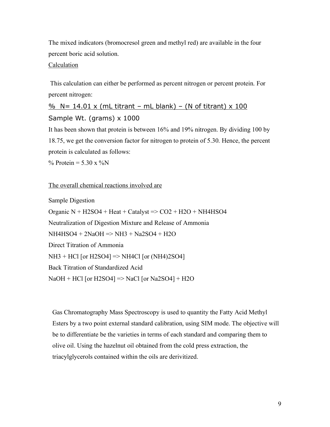The mixed indicators (bromocresol green and methyl red) are available in the four percent boric acid solution.

#### **Calculation**

This calculation can either be performed as percent nitrogen or percent protein. For percent nitrogen:

# $\frac{0}{6}$  N= 14.01 x (mL titrant – mL blank) – (N of titrant) x 100 Sample Wt. (grams) x 1000

It has been shown that protein is between 16% and 19% nitrogen. By dividing 100 by 18.75, we get the conversion factor for nitrogen to protein of 5.30. Hence, the percent protein is calculated as follows:

% Protein =  $5.30 \times \%$ N

#### The overall chemical reactions involved are

Sample Digestion Organic  $N + H2SO4 + Heat + Catalogst \implies CO2 + H2O + NH4HSO4$ Neutralization of Digestion Mixture and Release of Ammonia NH4HSO4 + 2NaOH => NH3 + Na2SO4 + H2O Direct Titration of Ammonia NH3 + HCl [or H2SO4] => NH4Cl [or (NH4)2SO4] Back Titration of Standardized Acid  $NaOH + HCl$  [or  $H2SO4$ ] => NaCl [or Na2SO4] + H2O

Gas Chromatography Mass Spectroscopy is used to quantity the Fatty Acid Methyl Esters by a two point external standard calibration, using SIM mode. The objective will be to differentiate be the varieties in terms of each standard and comparing them to olive oil. Using the hazelnut oil obtained from the cold press extraction, the triacylglycerols contained within the oils are derivitized.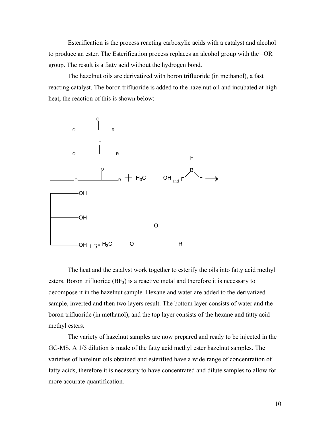Esterification is the process reacting carboxylic acids with a catalyst and alcohol to produce an ester. The Esterification process replaces an alcohol group with the –OR group. The result is a fatty acid without the hydrogen bond.

The hazelnut oils are derivatized with boron trifluoride (in methanol), a fast reacting catalyst. The boron trifluoride is added to the hazelnut oil and incubated at high heat, the reaction of this is shown below:



The heat and the catalyst work together to esterify the oils into fatty acid methyl esters. Boron trifluoride  $(BF_3)$  is a reactive metal and therefore it is necessary to decompose it in the hazelnut sample. Hexane and water are added to the derivatized sample, inverted and then two layers result. The bottom layer consists of water and the boron trifluoride (in methanol), and the top layer consists of the hexane and fatty acid methyl esters.

The variety of hazelnut samples are now prepared and ready to be injected in the GC-MS. A 1/5 dilution is made of the fatty acid methyl ester hazelnut samples. The varieties of hazelnut oils obtained and esterified have a wide range of concentration of fatty acids, therefore it is necessary to have concentrated and dilute samples to allow for more accurate quantification.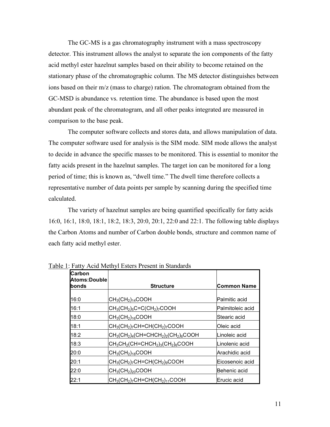The GC-MS is a gas chromatography instrument with a mass spectroscopy detector. This instrument allows the analyst to separate the ion components of the fatty acid methyl ester hazelnut samples based on their ability to become retained on the stationary phase of the chromatographic column. The MS detector distinguishes between ions based on their m/z (mass to charge) ration. The chromatogram obtained from the GC-MSD is abundance vs. retention time. The abundance is based upon the most abundant peak of the chromatogram, and all other peaks integrated are measured in comparison to the base peak.

The computer software collects and stores data, and allows manipulation of data. The computer software used for analysis is the SIM mode. SIM mode allows the analyst to decide in advance the specific masses to be monitored. This is essential to monitor the fatty acids present in the hazelnut samples. The target ion can be monitored for a long period of time; this is known as, "dwell time." The dwell time therefore collects a representative number of data points per sample by scanning during the specified time calculated.

The variety of hazelnut samples are being quantified specifically for fatty acids 16:0, 16:1, 18:0, 18:1, 18:2, 18:3, 20:0, 20:1, 22:0 and 22:1. The following table displays the Carbon Atoms and number of Carbon double bonds, structure and common name of each fatty acid methyl ester.

| <b>Carbon</b><br>Atoms:Double |                                                                           |                    |
|-------------------------------|---------------------------------------------------------------------------|--------------------|
| lbonds                        | <b>Structure</b>                                                          | <b>Common Name</b> |
| 16:0                          | $ CH_3CH_2\rangle_{14}$ COOH                                              | Palmitic acid      |
| 16:1                          | $ CH_3(CH_2)_5C=C(CH_2)_7COOH$                                            | Palmitoleic acid   |
| 18:0                          | $ CH_3(CH_2)_{16}$ COOH                                                   | Stearic acid       |
| 18:1                          | $ CH_3CH_2\rangle$ <sub>7</sub> CH=CH(CH <sub>2</sub> ) <sub>7</sub> COOH | Oleic acid         |
| 18:2                          | $CH_3(CH_2)_4(CH=CHCH_2)_2(CH_2)_6COOH$                                   | Linoleic acid      |
| 18:3                          | $ CH_3CH_2(CH=CHCH_2)_3(CH_2)_6COOH$                                      | Linolenic acid     |
| 20:0                          | $\vert$ CH $_3$ (CH $_2$ ) $_{18}$ COOH                                   | Arachidic acid     |
| 20:1                          | $ CH_3(CH_2)_7CH=CH(CH_2)_9COOH$                                          | Eicosenoic acid    |
| 22:0                          | $CH_3CH_2)_{20}$ COOH                                                     | Behenic acid       |
| 22:1                          | $ CH_3(CH_2)_7CH=CH(CH_2)_{11}COOH$                                       | Erucic acid        |

Table 1: Fatty Acid Methyl Esters Present in Standards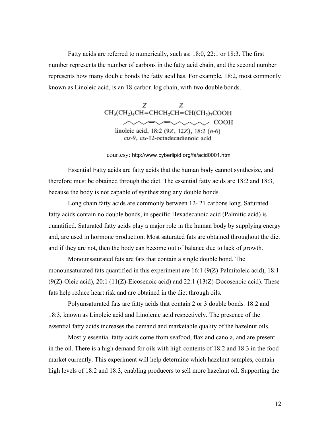Fatty acids are referred to numerically, such as: 18:0, 22:1 or 18:3. The first number represents the number of carbons in the fatty acid chain, and the second number represents how many double bonds the fatty acid has. For example, 18:2, most commonly known as Linoleic acid, is an 18-carbon log chain, with two double bonds.

> Ζ Ζ  $CH<sub>3</sub>(CH<sub>2</sub>)<sub>4</sub>CH=CHCH<sub>2</sub>CH=CH(CH<sub>2</sub>)<sub>7</sub>COOH$  $\sim$   $\sim$  COOH linoleic acid, 18:2 (9Z, 12Z), 18:2  $(n-6)$ cis-9, cis-12-octadecadienoic acid

courtesy: http://www.cyberlipid.org/fa/acid0001.htm

Essential Fatty acids are fatty acids that the human body cannot synthesize, and therefore must be obtained through the diet. The essential fatty acids are 18:2 and 18:3, because the body is not capable of synthesizing any double bonds.

Long chain fatty acids are commonly between 12- 21 carbons long. Saturated fatty acids contain no double bonds, in specific Hexadecanoic acid (Palmitic acid) is quantified. Saturated fatty acids play a major role in the human body by supplying energy and, are used in hormone production. Most saturated fats are obtained throughout the diet and if they are not, then the body can become out of balance due to lack of growth.

Monounsaturated fats are fats that contain a single double bond. The monounsaturated fats quantified in this experiment are  $16:1 (9(Z)$ -Palmitoleic acid), 18:1  $(9(Z)$ -Oleic acid), 20:1 (11(Z)-Eicosenoic acid) and 22:1 (13(Z)-Docosenoic acid). These fats help reduce heart risk and are obtained in the diet through oils.

Polyunsaturated fats are fatty acids that contain 2 or 3 double bonds. 18:2 and 18:3, known as Linoleic acid and Linolenic acid respectively. The presence of the essential fatty acids increases the demand and marketable quality of the hazelnut oils.

Mostly essential fatty acids come from seafood, flax and canola, and are present in the oil. There is a high demand for oils with high contents of 18:2 and 18:3 in the food market currently. This experiment will help determine which hazelnut samples, contain high levels of 18:2 and 18:3, enabling producers to sell more hazelnut oil. Supporting the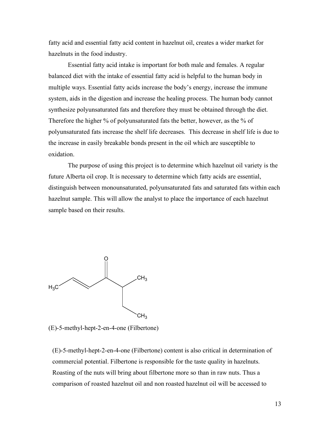fatty acid and essential fatty acid content in hazelnut oil, creates a wider market for hazelnuts in the food industry.

Essential fatty acid intake is important for both male and females. A regular balanced diet with the intake of essential fatty acid is helpful to the human body in multiple ways. Essential fatty acids increase the body's energy, increase the immune system, aids in the digestion and increase the healing process. The human body cannot synthesize polyunsaturated fats and therefore they must be obtained through the diet. Therefore the higher % of polyunsaturated fats the better, however, as the % of polyunsaturated fats increase the shelf life decreases. This decrease in shelf life is due to the increase in easily breakable bonds present in the oil which are susceptible to oxidation.

The purpose of using this project is to determine which hazelnut oil variety is the future Alberta oil crop. It is necessary to determine which fatty acids are essential, distinguish between monounsaturated, polyunsaturated fats and saturated fats within each hazelnut sample. This will allow the analyst to place the importance of each hazelnut sample based on their results.



(E)-5-methyl-hept-2-en-4-one (Filbertone)

(E)-5-methyl-hept-2-en-4-one (Filbertone) content is also critical in determination of commercial potential. Filbertone is responsible for the taste quality in hazelnuts. Roasting of the nuts will bring about filbertone more so than in raw nuts. Thus a comparison of roasted hazelnut oil and non roasted hazelnut oil will be accessed to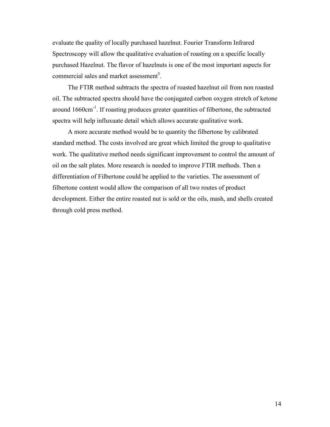evaluate the quality of locally purchased hazelnut. Fourier Transform Infrared Spectroscopy will allow the qualitative evaluation of roasting on a specific locally purchased Hazelnut. The flavor of hazelnuts is one of the most important aspects for commercial sales and market assessment<sup>5</sup>.

The FTIR method subtracts the spectra of roasted hazelnut oil from non roasted oil. The subtracted spectra should have the conjugated carbon oxygen stretch of ketone around 1660cm<sup>-1</sup>. If roasting produces greater quantities of filbertone, the subtracted spectra will help influxuate detail which allows accurate qualitative work.

A more accurate method would be to quantity the filbertone by calibrated standard method. The costs involved are great which limited the group to qualitative work. The qualitative method needs significant improvement to control the amount of oil on the salt plates. More research is needed to improve FTIR methods. Then a differentiation of Filbertone could be applied to the varieties. The assessment of filbertone content would allow the comparison of all two routes of product development. Either the entire roasted nut is sold or the oils, mash, and shells created through cold press method.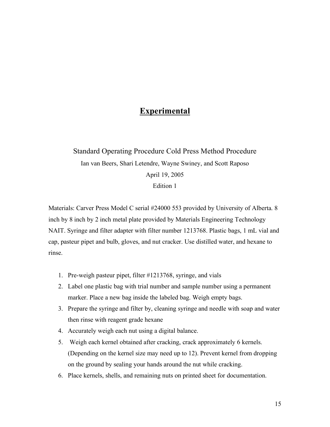# **Experimental**

# Standard Operating Procedure Cold Press Method Procedure Ian van Beers, Shari Letendre, Wayne Swiney, and Scott Raposo April 19, 2005 Edition 1

Materials: Carver Press Model C serial #24000 553 provided by University of Alberta. 8 inch by 8 inch by 2 inch metal plate provided by Materials Engineering Technology NAIT. Syringe and filter adapter with filter number 1213768. Plastic bags, 1 mL vial and cap, pasteur pipet and bulb, gloves, and nut cracker. Use distilled water, and hexane to rinse.

- 1. Pre-weigh pasteur pipet, filter #1213768, syringe, and vials
- 2. Label one plastic bag with trial number and sample number using a permanent marker. Place a new bag inside the labeled bag. Weigh empty bags.
- 3. Prepare the syringe and filter by, cleaning syringe and needle with soap and water then rinse with reagent grade hexane
- 4. Accurately weigh each nut using a digital balance.
- 5. Weigh each kernel obtained after cracking, crack approximately 6 kernels. (Depending on the kernel size may need up to 12). Prevent kernel from dropping on the ground by sealing your hands around the nut while cracking.
- 6. Place kernels, shells, and remaining nuts on printed sheet for documentation.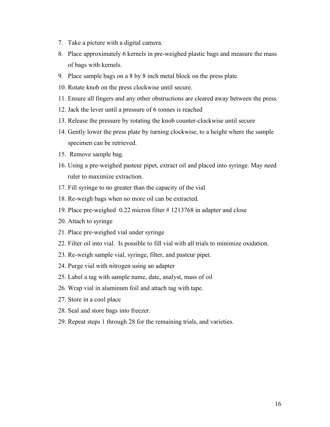- 7. Take a picture with a digital camera.
- 8. Place approximately 6 kernels in pre-weighed plastic bags and measure the mass of bags with kernels.
- 9. Place sample bags on a 8 by 8 inch metal block on the press plate.
- 10. Rotate knob on the press clockwise until secure.
- 11. Ensure all fingers and any other obstructions are cleared away between the press.
- 12. Jack the lever until a pressure of 6 tonnes is reached
- 13. Release the pressure by rotating the knob counter-clockwise until secure
- 14. Gently lower the press plate by turning clockwise, to a height where the sample specimen can be retrieved.
- 15. Remove sample bag.
- 16. Using a pre-weighed pasteur pipet, extract oil and placed into syringe. May need ruler to maximize extraction.
- 17. Fill syringe to no greater than the capacity of the vial
- 18. Re-weigh bags when no more oil can be extracted.
- 19. Place pre-weighed 0.22 micron filter # 1213768 in adapter and close
- 20. Attach to syringe
- 21. Place pre-weighed vial under syringe
- 22. Filter oil into vial. Is possible to fill vial with all trials to minimize oxidation.
- 23. Re-weigh sample vial, syringe, filter, and pasteur pipet.
- 24. Purge vial with nitrogen using an adapter
- 25. Label a tag with sample name, date, analyst, mass of oil
- 26. Wrap vial in aluminum foil and attach tag with tape.
- 27. Store in a cool place
- 28. Seal and store bags into freezer.
- 29. Repeat steps 1 through 28 for the remaining trials, and varieties.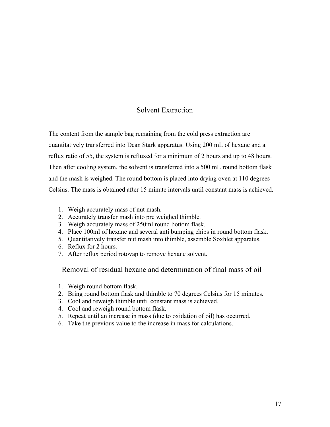## Solvent Extraction

The content from the sample bag remaining from the cold press extraction are quantitatively transferred into Dean Stark apparatus. Using 200 mL of hexane and a reflux ratio of 55, the system is refluxed for a minimum of 2 hours and up to 48 hours. Then after cooling system, the solvent is transferred into a 500 mL round bottom flask and the mash is weighed. The round bottom is placed into drying oven at 110 degrees Celsius. The mass is obtained after 15 minute intervals until constant mass is achieved.

- 1. Weigh accurately mass of nut mash.
- 2. Accurately transfer mash into pre weighed thimble.
- 3. Weigh accurately mass of 250ml round bottom flask.
- 4. Place 100ml of hexane and several anti bumping chips in round bottom flask.
- 5. Quantitatively transfer nut mash into thimble, assemble Soxhlet apparatus.
- 6. Reflux for 2 hours.
- 7. After reflux period rotovap to remove hexane solvent.

Removal of residual hexane and determination of final mass of oil

- 1. Weigh round bottom flask.
- 2. Bring round bottom flask and thimble to 70 degrees Celsius for 15 minutes.
- 3. Cool and reweigh thimble until constant mass is achieved.
- 4. Cool and reweigh round bottom flask.
- 5. Repeat until an increase in mass (due to oxidation of oil) has occurred.
- 6. Take the previous value to the increase in mass for calculations.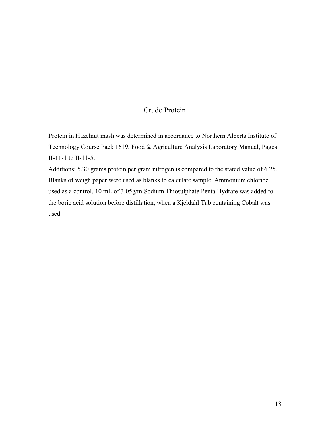### Crude Protein

Protein in Hazelnut mash was determined in accordance to Northern Alberta Institute of Technology Course Pack 1619, Food & Agriculture Analysis Laboratory Manual, Pages II-11-1 to II-11-5.

Additions: 5.30 grams protein per gram nitrogen is compared to the stated value of 6.25. Blanks of weigh paper were used as blanks to calculate sample. Ammonium chloride used as a control. 10 mL of 3.05g/mlSodium Thiosulphate Penta Hydrate was added to the boric acid solution before distillation, when a Kjeldahl Tab containing Cobalt was used.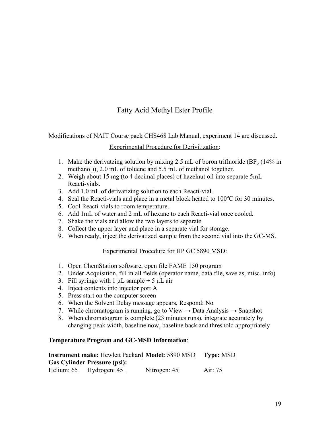# Fatty Acid Methyl Ester Profile

Modifications of NAIT Course pack CHS468 Lab Manual, experiment 14 are discussed.

### Experimental Procedure for Derivitization:

- 1. Make the derivatzing solution by mixing 2.5 mL of boron trifluoride ( $BF_3$  (14% in methanol)), 2.0 mL of toluene and 5.5 mL of methanol together.
- 2. Weigh about 15 mg (to 4 decimal places) of hazelnut oil into separate 5mL Reacti-vials.
- 3. Add 1.0 mL of derivatizing solution to each Reacti-vial.
- 4. Seal the Reacti-vials and place in a metal block heated to  $100^{\circ}$ C for 30 minutes.
- 5. Cool Reacti-vials to room temperature.
- 6. Add 1mL of water and 2 mL of hexane to each Reacti-vial once cooled.
- 7. Shake the vials and allow the two layers to separate.
- 8. Collect the upper layer and place in a separate vial for storage.
- 9. When ready, inject the derivatized sample from the second vial into the GC-MS.

### Experimental Procedure for HP GC 5890 MSD:

- 1. Open ChemStation software, open file FAME 150 program
- 2. Under Acquisition, fill in all fields (operator name, data file, save as, misc. info)
- 3. Fill syringe with 1  $\mu$ L sample + 5  $\mu$ L air
- 4. Inject contents into injector port A
- 5. Press start on the computer screen
- 6. When the Solvent Delay message appears, Respond: No
- 7. While chromatogram is running, go to View  $\rightarrow$  Data Analysis  $\rightarrow$  Snapshot
- 8. When chromatogram is complete (23 minutes runs), integrate accurately by changing peak width, baseline now, baseline back and threshold appropriately

### **Temperature Program and GC-MSD Information**:

|                                     | <b>Instrument make: Hewlett Packard Model: 5890 MSD</b> | <b>Type: MSD</b> |
|-------------------------------------|---------------------------------------------------------|------------------|
| <b>Gas Cylinder Pressure (psi):</b> |                                                         |                  |
| Helium: 65 Hydrogen: 45             | Nitrogen: 45                                            | Air: 75          |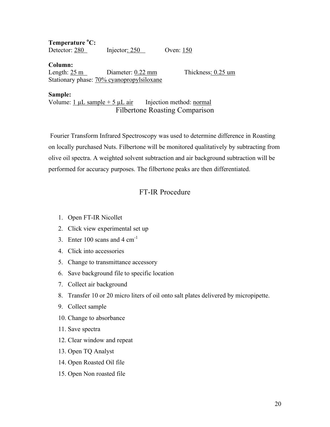**Temperature <sup>o</sup> C:** Detector: 280 Injector: 250 Oven: 150

**Column:** Length:  $25 \text{ m}$  Diameter:  $0.22 \text{ mm}$  Thickness:  $0.25 \text{ um}$ Stationary phase: 70% cyanopropylsiloxane

**Sample:**

Volume:  $1 \mu L$  sample + 5  $\mu L$  air Injection method: normal Filbertone Roasting Comparison

Fourier Transform Infrared Spectroscopy was used to determine difference in Roasting on locally purchased Nuts. Filbertone will be monitored qualitatively by subtracting from olive oil spectra. A weighted solvent subtraction and air background subtraction will be performed for accuracy purposes. The filbertone peaks are then differentiated.

# FT-IR Procedure

- 1. Open FT-IR Nicollet
- 2. Click view experimental set up
- 3. Enter  $100$  scans and  $4 \text{ cm}^{-1}$
- 4. Click into accessories
- 5. Change to transmittance accessory
- 6. Save background file to specific location
- 7. Collect air background
- 8. Transfer 10 or 20 micro liters of oil onto salt plates delivered by micropipette.
- 9. Collect sample
- 10. Change to absorbance
- 11. Save spectra
- 12. Clear window and repeat
- 13. Open TQ Analyst
- 14. Open Roasted Oil file
- 15. Open Non roasted file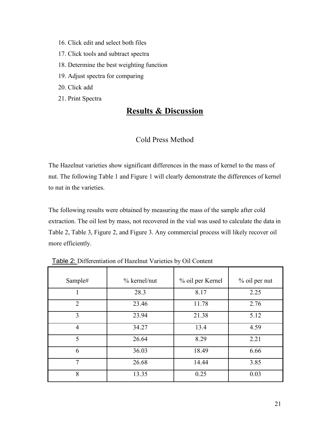- 16. Click edit and select both files
- 17. Click tools and subtract spectra
- 18. Determine the best weighting function
- 19. Adjust spectra for comparing
- 20. Click add
- 21. Print Spectra

# **Results & Discussion**

## Cold Press Method

The Hazelnut varieties show significant differences in the mass of kernel to the mass of nut. The following Table 1 and Figure 1 will clearly demonstrate the differences of kernel to nut in the varieties.

The following results were obtained by measuring the mass of the sample after cold extraction. The oil lost by mass, not recovered in the vial was used to calculate the data in Table 2, Table 3, Figure 2, and Figure 3. Any commercial process will likely recover oil more efficiently.

| Sample#        | $%$ kernel/nut | % oil per Kernel | % oil per nut |
|----------------|----------------|------------------|---------------|
|                | 28.3           | 8.17             | 2.25          |
| $\overline{2}$ | 23.46          | 11.78            | 2.76          |
| 3              | 23.94          | 21.38            | 5.12          |
| $\overline{4}$ | 34.27          | 13.4             | 4.59          |
| 5              | 26.64          | 8.29             | 2.21          |
| 6              | 36.03          | 18.49            | 6.66          |
| $\tau$         | 26.68          | 14.44            | 3.85          |
| 8              | 13.35          | 0.25             | 0.03          |

Table 2: Differentiation of Hazelnut Varieties by Oil Content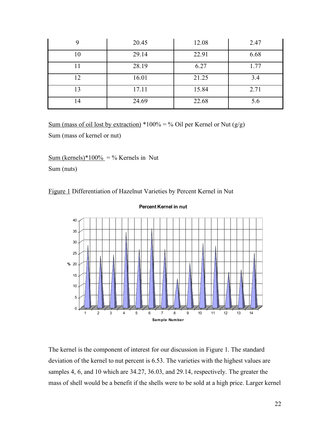|    | 20.45 | 12.08 | 2.47 |
|----|-------|-------|------|
| 10 | 29.14 | 22.91 | 6.68 |
|    | 28.19 | 6.27  | 1.77 |
| 12 | 16.01 | 21.25 | 3.4  |
| 13 | 17.11 | 15.84 | 2.71 |
| 14 | 24.69 | 22.68 | 5.6  |

Sum (mass of oil lost by extraction) \*100% = % Oil per Kernel or Nut  $(g/g)$ Sum (mass of kernel or nut)

Sum (kernels)\*100% = % Kernels in Nut

Sum (nuts)

Figure 1 Differentiation of Hazelnut Varieties by Percent Kernel in Nut



**Percent Kernel in nut**

The kernel is the component of interest for our discussion in Figure 1. The standard deviation of the kernel to nut percent is 6.53. The varieties with the highest values are samples 4, 6, and 10 which are 34.27, 36.03, and 29.14, respectively. The greater the mass of shell would be a benefit if the shells were to be sold at a high price. Larger kernel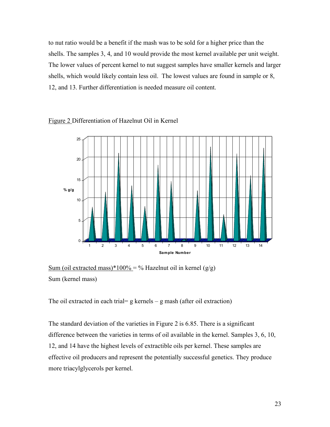to nut ratio would be a benefit if the mash was to be sold for a higher price than the shells. The samples 3, 4, and 10 would provide the most kernel available per unit weight. The lower values of percent kernel to nut suggest samples have smaller kernels and larger shells, which would likely contain less oil. The lowest values are found in sample or 8, 12, and 13. Further differentiation is needed measure oil content.



#### Figure 2 Differentiation of Hazelnut Oil in Kernel

Sum (oil extracted mass)\*100% = % Hazelnut oil in kernel  $(g/g)$ Sum (kernel mass)

The oil extracted in each trial=  $g$  kernels –  $g$  mash (after oil extraction)

The standard deviation of the varieties in Figure 2 is 6.85. There is a significant difference between the varieties in terms of oil available in the kernel. Samples 3, 6, 10, 12, and 14 have the highest levels of extractible oils per kernel. These samples are effective oil producers and represent the potentially successful genetics. They produce more triacylglycerols per kernel.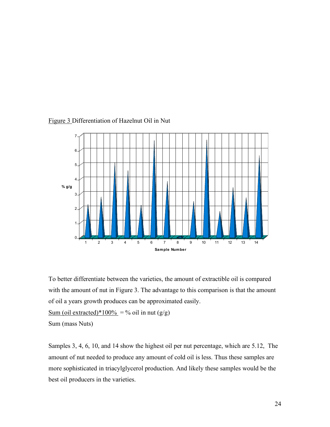

#### Figure 3 Differentiation of Hazelnut Oil in Nut

To better differentiate between the varieties, the amount of extractible oil is compared with the amount of nut in Figure 3. The advantage to this comparison is that the amount of oil a years growth produces can be approximated easily.

Sum (oil extracted)\*100% = % oil in nut  $(g/g)$ 

Sum (mass Nuts)

Samples 3, 4, 6, 10, and 14 show the highest oil per nut percentage, which are 5.12, The amount of nut needed to produce any amount of cold oil is less. Thus these samples are more sophisticated in triacylglycerol production. And likely these samples would be the best oil producers in the varieties.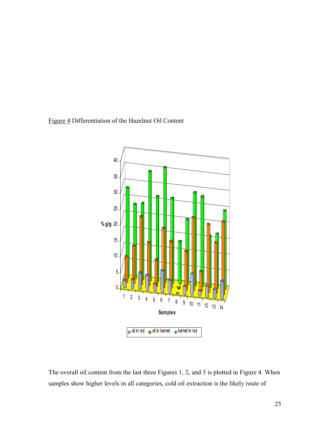### Figure 4 Differentiation of the Hazelnut Oil Content



The overall oil content from the last three Figures 1, 2, and 3 is plotted in Figure 4. When samples show higher levels in all categories, cold oil extraction is the likely route of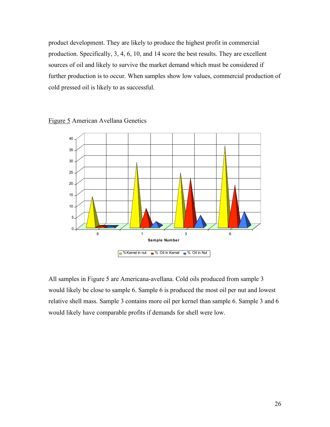product development. They are likely to produce the highest profit in commercial production. Specifically, 3, 4, 6, 10, and 14 score the best results. They are excellent sources of oil and likely to survive the market demand which must be considered if further production is to occur. When samples show low values, commercial production of cold pressed oil is likely to as successful.





All samples in Figure 5 are Americana-avellana. Cold oils produced from sample 3 would likely be close to sample 6. Sample 6 is produced the most oil per nut and lowest relative shell mass. Sample 3 contains more oil per kernel than sample 6. Sample 3 and 6 would likely have comparable profits if demands for shell were low.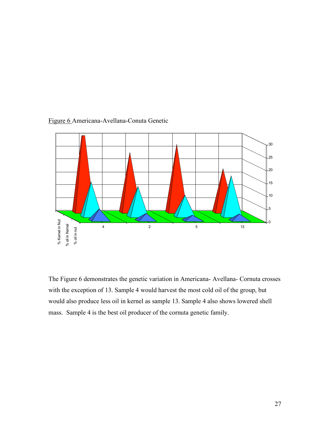

### Figure 6 Americana-Avellana-Conuta Genetic

The Figure 6 demonstrates the genetic variation in Americana- Avellana- Cornuta crosses with the exception of 13. Sample 4 would harvest the most cold oil of the group, but would also produce less oil in kernel as sample 13. Sample 4 also shows lowered shell mass. Sample 4 is the best oil producer of the cornuta genetic family.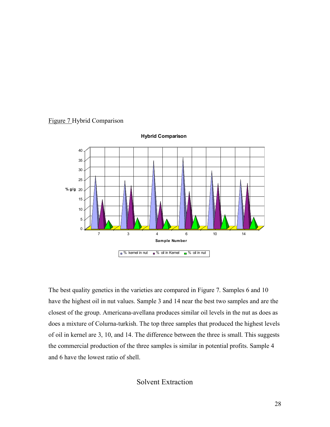



**Hybrid Comparison**

The best quality genetics in the varieties are compared in Figure 7. Samples 6 and 10 have the highest oil in nut values. Sample 3 and 14 near the best two samples and are the closest of the group. Americana-avellana produces similar oil levels in the nut as does as does a mixture of Colurna-turkish. The top three samples that produced the highest levels of oil in kernel are 3, 10, and 14. The difference between the three is small. This suggests the commercial production of the three samples is similar in potential profits. Sample 4 and 6 have the lowest ratio of shell.

### Solvent Extraction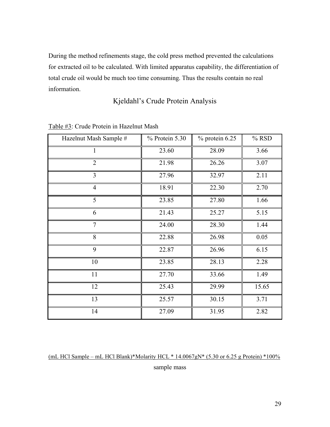During the method refinements stage, the cold press method prevented the calculations for extracted oil to be calculated. With limited apparatus capability, the differentiation of total crude oil would be much too time consuming. Thus the results contain no real information.

## Kjeldahl's Crude Protein Analysis

| Hazelnut Mash Sample # | % Protein 5.30 | $%$ protein 6.25 | % RSD |
|------------------------|----------------|------------------|-------|
|                        | 23.60          | 28.09            | 3.66  |
| $\overline{2}$         | 21.98          | 26.26            | 3.07  |
| 3                      | 27.96          | 32.97            | 2.11  |
| $\overline{4}$         | 18.91          | 22.30            | 2.70  |
| 5                      | 23.85          | 27.80            | 1.66  |
| 6                      | 21.43          | 25.27            | 5.15  |
| $\overline{7}$         | 24.00          | 28.30            | 1.44  |
| 8                      | 22.88          | 26.98            | 0.05  |
| 9                      | 22.87          | 26.96            | 6.15  |
| 10                     | 23.85          | 28.13            | 2.28  |
| 11                     | 27.70          | 33.66            | 1.49  |
| 12                     | 25.43          | 29.99            | 15.65 |
| 13                     | 25.57          | 30.15            | 3.71  |
| 14                     | 27.09          | 31.95            | 2.82  |

#### Table #3: Crude Protein in Hazelnut Mash

(mL HCl Sample – mL HCl Blank)\*Molarity HCL \*  $14.0067gN*$  (5.30 or 6.25 g Protein) \*100% sample mass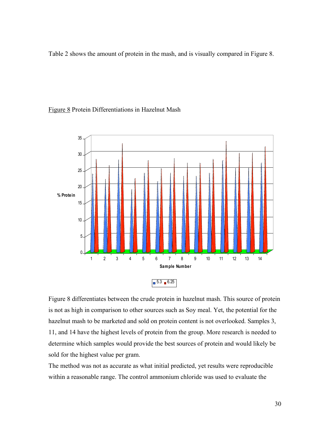Table 2 shows the amount of protein in the mash, and is visually compared in Figure 8.

#### Figure 8 Protein Differentiations in Hazelnut Mash



Figure 8 differentiates between the crude protein in hazelnut mash. This source of protein is not as high in comparison to other sources such as Soy meal. Yet, the potential for the hazelnut mash to be marketed and sold on protein content is not overlooked. Samples 3, 11, and 14 have the highest levels of protein from the group. More research is needed to determine which samples would provide the best sources of protein and would likely be sold for the highest value per gram.

The method was not as accurate as what initial predicted, yet results were reproducible within a reasonable range. The control ammonium chloride was used to evaluate the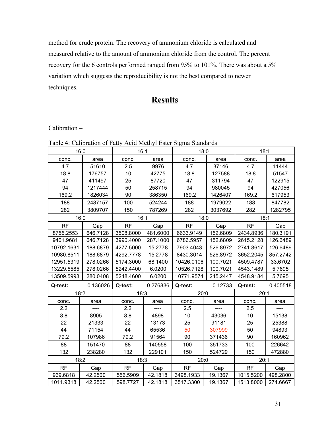method for crude protein. The recovery of ammonium chloride is calculated and measured relative to the amount of ammonium chloride from the control. The percent recovery for the 6 controls performed ranged from 95% to 101%. There was about a 5% variation which suggests the reproducibility is not the best compared to newer techniques.

# **Results**

#### $Calibration -$

|            |          |           |          | <u> Lable 4</u> : Calibration of Fatty Acid Methyl Ester Sigma Standards |          |           |          |
|------------|----------|-----------|----------|--------------------------------------------------------------------------|----------|-----------|----------|
|            | 16:0     | 16:1      |          | 18:0                                                                     |          | 18:1      |          |
| conc.      | area     | conc.     | area     | conc.                                                                    | area     | conc.     | area     |
| 4.7        | 51610    | 2.5       | 9976     | 4.7                                                                      | 37146    | 4.7       | 11444    |
| 18.8       | 176757   | 10        | 42775    | 18.8                                                                     | 127588   | 18.8      | 51547    |
| 47         | 411497   | 25        | 87720    | 47                                                                       | 311794   | 47        | 122915   |
| 94         | 1217444  | 50        | 258715   | 94                                                                       | 980045   | 94        | 427056   |
| 169.2      | 1826034  | 90        | 386350   | 169.2                                                                    | 1426407  | 169.2     | 617953   |
| 188        | 2487157  | 100       | 524244   | 188                                                                      | 1979022  | 188       | 847782   |
| 282        | 3809707  | 150       | 787269   | 282                                                                      | 3037692  | 282       | 1282795  |
|            | 16:0     | 16:1      |          | 18:0                                                                     |          | 18:1      |          |
| <b>RF</b>  | Gap      | <b>RF</b> | Gap      | <b>RF</b>                                                                | Gap      | <b>RF</b> | Gap      |
| 8755.2553  | 646.7128 | 3508.8000 | 481.6000 | 6633.9149                                                                | 152.6809 | 2434.8936 | 180.3191 |
| 9401.9681  | 646.7128 | 3990.4000 | 287.1000 | 6786.5957                                                                | 152.6809 | 2615.2128 | 126.6489 |
| 10792.1631 | 188.6879 | 4277.5000 | 15.2778  | 7903.4043                                                                | 526.8972 | 2741.8617 | 126.6489 |
| 10980.8511 | 188.6879 | 4292.7778 | 15.2778  | 8430.3014                                                                | 526.8972 | 3652.2045 | 857.2742 |
| 12951.5319 | 278.0266 | 5174.3000 | 68.1400  | 10426.0106                                                               | 100.7021 | 4509.4787 | 33.6702  |
| 13229.5585 | 278.0266 | 5242.4400 | 6.0200   | 10526.7128                                                               | 100.7021 | 4543.1489 | 5.7695   |
| 13509.5993 | 280.0408 | 5248.4600 | 6.0200   | 10771.9574                                                               | 245.2447 | 4548.9184 | 5.7695   |
| Q-test:    | 0.136026 | Q-test:   | 0.276836 | Q-test:                                                                  | 0.12733  | Q-test:   | 0.405518 |
| 18:2       |          | 18:3      |          | 20:0                                                                     |          | 20:1      |          |
| conc.      | area     | conc.     | area     | conc.                                                                    | area     | conc.     | area     |
| 2.2        | ----     | 2.2       | ----     | 2.5                                                                      | ----     | 2.5       | ----     |
| 8.8        | 8905     | 8.8       | 4898     | 10                                                                       | 43036    | 10        | 15138    |
| 22         | 21333    | 22        | 13173    | 25                                                                       | 91181    | 25        | 25388    |
| 44         | 71154    | 44        | 65536    | 50                                                                       | 307999   | 50        | 94893    |
| 79.2       | 107986   | 79.2      | 91564    | 90                                                                       | 371436   | 90        | 160962   |
| 88         | 151470   | 88        | 140558   | 100                                                                      | 351733   | 100       | 226642   |
| 132        | 238280   | 132       | 229101   | 150                                                                      | 524729   | 150       | 472880   |
|            | 18:2     | 18:3      |          | 20:0                                                                     |          | 20:1      |          |
| <b>RF</b>  | Gap      | <b>RF</b> | Gap      | <b>RF</b>                                                                | Gap      | <b>RF</b> | Gap      |
| 969.6818   | 42.2500  | 556.5909  | 42.1818  | 3498.1933                                                                | 19.1367  | 1015.5200 | 498.2800 |
| 1011.9318  | 42.2500  | 598.7727  | 42.1818  | 3517.3300                                                                | 19.1367  | 1513.8000 | 274.6667 |

 $T_{\rm t}$  Calibration of Ester Acid Methyl Ester Sigma Standards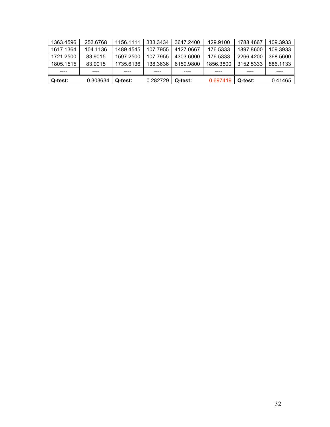| 1363.4596 | 253.6768 | 1156.1111 | 333.3434 | 3647.2400 | 129.9100  | 1788.4667 | 109.3933 |
|-----------|----------|-----------|----------|-----------|-----------|-----------|----------|
| 1617.1364 | 104.1136 | 1489.4545 | 107.7955 | 4127.0667 | 176.5333  | 1897.8600 | 109.3933 |
| 1721.2500 | 83.9015  | 1597.2500 | 107.7955 | 4303.6000 | 176.5333  | 2266.4200 | 368,5600 |
| 1805.1515 | 83.9015  | 1735.6136 | 138.3636 | 6159.9800 | 1856.3800 | 3152.5333 | 886.1133 |
|           |          | ----      |          | ----      |           |           |          |
| Q-test:   | 0.303634 | Q-test:   | 0.282729 | Q-test:   | 0.697419  | Q-test:   | 0.41465  |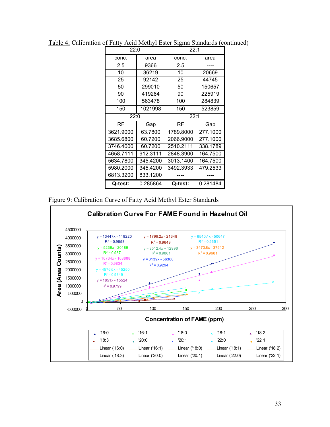|           | 22:0     |           | 22:1     |  |
|-----------|----------|-----------|----------|--|
| conc.     | area     | conc.     | area     |  |
| 2.5       | 9366     | 2.5       |          |  |
| 10        | 36219    | 10        | 20669    |  |
| 25        | 92142    | 25        | 44745    |  |
| 50        | 299010   | 50        | 150657   |  |
| 90        | 419284   | 90        | 225919   |  |
| 100       | 563478   | 100       | 284839   |  |
| 150       | 1021998  | 150       | 523859   |  |
| 22:0      |          | 22:1      |          |  |
| <b>RF</b> | Gap      | <b>RF</b> | Gap      |  |
| 3621.9000 | 63.7800  | 1789.8000 | 277.1000 |  |
| 3685.6800 | 60.7200  | 2066.9000 | 277.1000 |  |
| 3746.4000 | 60.7200  | 2510.2111 | 338.1789 |  |
| 4658.7111 | 912.3111 | 2848.3900 | 164.7500 |  |
| 5634.7800 | 345.4200 | 3013.1400 | 164.7500 |  |
| 5980.2000 | 345.4200 | 3492.3933 | 479.2533 |  |
| 6813.3200 | 833.1200 |           |          |  |
| Q-test:   | 0.285864 | Q-test:   | 0.281484 |  |

Table 4: Calibration of Fatty Acid Methyl Ester Sigma Standards (continued)

Figure 9: Calibration Curve of Fatty Acid Methyl Ester Standards

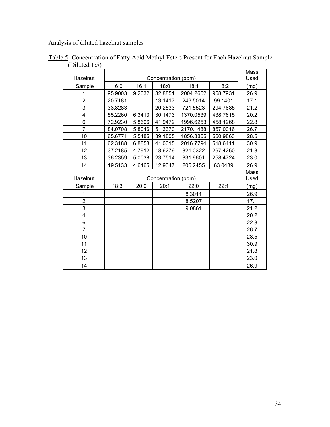Analysis of diluted hazelnut samples –

|                |         |        |                     |           |          | Mass |
|----------------|---------|--------|---------------------|-----------|----------|------|
| Hazelnut       |         |        | Concentration (ppm) |           |          | Used |
| Sample         | 16:0    | 16:1   | 18:0                | 18:1      | 18:2     | (mg) |
| 1              | 95.9003 | 9.2032 | 32.8851             | 2004.2652 | 958.7931 | 26.9 |
| $\overline{2}$ | 20.7181 |        | 13.1417             | 246.5014  | 99.1401  | 17.1 |
| 3              | 33.8283 |        | 20.2533             | 721.5523  | 294.7685 | 21.2 |
| 4              | 55.2260 | 6.3413 | 30.1473             | 1370.0539 | 438.7615 | 20.2 |
| 6              | 72.9230 | 5.8606 | 41.9472             | 1996.6253 | 458.1268 | 22.8 |
| $\overline{7}$ | 84.0708 | 5.8046 | 51.3370             | 2170.1488 | 857.0016 | 26.7 |
| 10             | 65.6771 | 5.5485 | 39.1805             | 1856.3865 | 560.9863 | 28.5 |
| 11             | 62.3188 | 6.8858 | 41.0015             | 2016.7794 | 518.6411 | 30.9 |
| 12             | 37.2185 | 4.7912 | 18.6279             | 821.0322  | 267.4260 | 21.8 |
| 13             | 36.2359 | 5.0038 | 23.7514             | 831.9601  | 258.4724 | 23.0 |
| 14             | 19.5133 | 4.6165 | 12.9347             | 205.2455  | 63.0439  | 26.9 |
|                |         |        |                     |           |          | Mass |
| Hazelnut       |         |        | Concentration (ppm) |           |          | Used |
| Sample         | 18:3    | 20:0   | 20:1                | 22:0      | 22:1     | (mg) |
| 1              |         |        |                     |           |          |      |
|                |         |        |                     | 8.3011    |          | 26.9 |
| $\overline{2}$ |         |        |                     | 8.5207    |          | 17.1 |
| 3              |         |        |                     | 9.0861    |          | 21.2 |
| 4              |         |        |                     |           |          | 20.2 |
| 6              |         |        |                     |           |          | 22.8 |
| $\overline{7}$ |         |        |                     |           |          | 26.7 |
| 10             |         |        |                     |           |          | 28.5 |
| 11             |         |        |                     |           |          | 30.9 |
| 12             |         |        |                     |           |          | 21.8 |
| 13             |         |        |                     |           |          | 23.0 |

Table 5: Concentration of Fatty Acid Methyl Esters Present for Each Hazelnut Sample (Diluted 1:5)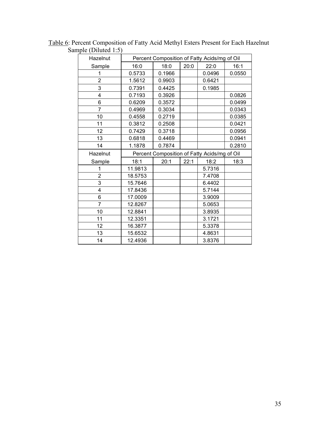| $\mathop{\text{input}}$ (Diruwa 1.0)<br>Hazelnut | Percent Composition of Fatty Acids/mg of Oil |        |      |        |        |  |
|--------------------------------------------------|----------------------------------------------|--------|------|--------|--------|--|
| Sample                                           | 16:0                                         | 18:0   | 20:0 | 22:0   | 16:1   |  |
| 1                                                | 0.5733                                       | 0.1966 |      | 0.0496 | 0.0550 |  |
| 2                                                | 1.5612                                       | 0.9903 |      | 0.6421 |        |  |
| 3                                                | 0.7391                                       | 0.4425 |      | 0.1985 |        |  |
| 4                                                | 0.7193                                       | 0.3926 |      |        | 0.0826 |  |
| 6                                                | 0.6209                                       | 0.3572 |      |        | 0.0499 |  |
| $\overline{7}$                                   | 0.4969                                       | 0.3034 |      |        | 0.0343 |  |
| 10                                               | 0.4558                                       | 0.2719 |      |        | 0.0385 |  |
| 11                                               | 0.3812                                       | 0.2508 |      |        | 0.0421 |  |
| 12                                               | 0.7429                                       | 0.3718 |      |        | 0.0956 |  |
| 13                                               | 0.6818                                       | 0.4469 |      |        | 0.0941 |  |
| 14                                               | 1.1878                                       | 0.7874 |      |        | 0.2810 |  |
| Hazelnut                                         | Percent Composition of Fatty Acids/mg of Oil |        |      |        |        |  |
| Sample                                           | 18:1                                         | 20:1   | 22:1 | 18:2   | 18:3   |  |
| 1                                                | 11.9813                                      |        |      | 5.7316 |        |  |
| 2                                                | 18.5753                                      |        |      | 7.4708 |        |  |
| 3                                                | 15.7646                                      |        |      | 6.4402 |        |  |
| 4                                                | 17.8436                                      |        |      | 5.7144 |        |  |
| 6                                                | 17.0009                                      |        |      | 3.9009 |        |  |
| 7                                                | 12.8267                                      |        |      | 5.0653 |        |  |
| 10                                               | 12.8841                                      |        |      | 3.8935 |        |  |
| 11                                               | 12.3351                                      |        |      | 3.1721 |        |  |
| 12                                               | 16.3877                                      |        |      | 5.3378 |        |  |
| 13                                               | 15.6532                                      |        |      | 4.8631 |        |  |
| 14                                               | 12.4936                                      |        |      | 3.8376 |        |  |

Table 6: Percent Composition of Fatty Acid Methyl Esters Present for Each Hazelnut Sample (Diluted 1:5)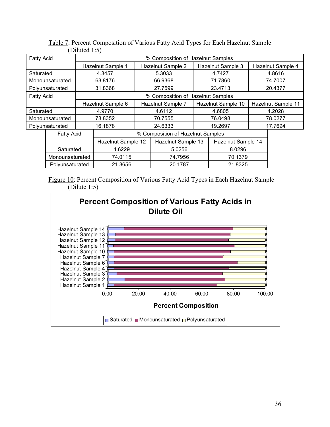|                   |                     | $D$ muwa 1.07                     |                   |                    |                                   |                    |                    |         |                    |
|-------------------|---------------------|-----------------------------------|-------------------|--------------------|-----------------------------------|--------------------|--------------------|---------|--------------------|
| <b>Fatty Acid</b> |                     | % Composition of Hazelnut Samples |                   |                    |                                   |                    |                    |         |                    |
|                   |                     |                                   | Hazelnut Sample 1 |                    | Hazelnut Sample 2                 |                    | Hazelnut Sample 3  |         | Hazelnut Sample 4  |
| Saturated         |                     |                                   | 4.3457            |                    | 5.3033                            |                    | 4.7427             |         | 4.8616             |
|                   | Monounsaturated     |                                   | 63.8176           |                    | 66.9368                           |                    | 71.7860            |         | 74.7007            |
|                   | Polyunsaturated     |                                   | 31.8368           |                    | 27.7599                           |                    | 23.4713            |         | 20.4377            |
| <b>Fatty Acid</b> |                     |                                   |                   |                    | % Composition of Hazelnut Samples |                    |                    |         |                    |
|                   |                     |                                   | Hazelnut Sample 6 |                    | Hazelnut Sample 7                 |                    | Hazelnut Sample 10 |         | Hazelnut Sample 11 |
| Saturated         |                     |                                   | 4.9770            |                    | 4.6112                            | 4.6805             |                    | 4.2028  |                    |
|                   | Monounsaturated     |                                   | 78.8352           |                    | 70.7555                           |                    | 76.0498            |         | 78.0277            |
|                   | Polyunsaturated     |                                   | 16.1878           |                    | 24.6333                           | 19.2697            |                    | 17.7694 |                    |
|                   | <b>Fatty Acid</b>   | % Composition of Hazelnut Samples |                   |                    |                                   |                    |                    |         |                    |
|                   |                     | Hazelnut Sample 12                |                   | Hazelnut Sample 13 |                                   | Hazelnut Sample 14 |                    |         |                    |
|                   | 4.6229<br>Saturated |                                   | 5.0256            |                    | 8.0296                            |                    |                    |         |                    |
|                   |                     | Monounsaturated<br>74.0115        |                   | 74.7956            | 70.1379                           |                    |                    |         |                    |
|                   | Polyunsaturated     | 21.3656<br>20.1787                |                   | 21.8325            |                                   |                    |                    |         |                    |

Table 7: Percent Composition of Various Fatty Acid Types for Each Hazelnut Sample (Diluted 1:5)

Figure 10: Percent Composition of Various Fatty Acid Types in Each Hazelnut Sample (Dilute 1:5)

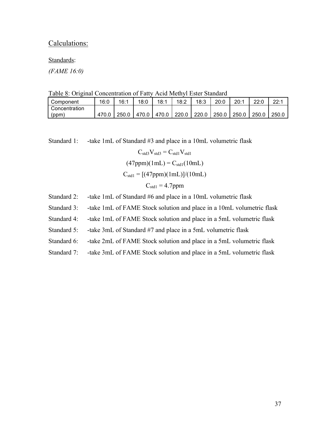### Calculations:

Standards:

*(FAME 16:0)*

Table 8: Original Concentration of Fatty Acid Methyl Ester Standard

| Component     | 16:0  | 16:1  | 18:0  | 18:1  | 18:2  | 18:3  | 20:0  | 20:1  | ∩יממ  | 22.1  |
|---------------|-------|-------|-------|-------|-------|-------|-------|-------|-------|-------|
| Concentration |       |       |       |       |       |       |       |       |       |       |
| (ppm)         | 470.∪ | 250.0 | 470.0 | 470.0 | 220.0 | 220.0 | 250.0 | 250.0 | 250.0 | 250.0 |

Standard 1: -take 1mL of Standard #3 and place in a 10mL volumetric flask

$$
C_{std3}V_{std3} = C_{std1}V_{std1}
$$

$$
(47ppm)(1mL) = C_{std1}(10mL)
$$

$$
C_{std1} = [(47ppm)(1mL)]/(10mL)
$$

$$
C_{std1} = 4.7ppm
$$

- Standard 2: -take 1mL of Standard #6 and place in a 10mL volumetric flask
- Standard 3: -take 1mL of FAME Stock solution and place in a 10mL volumetric flask
- Standard 4: -take 1mL of FAME Stock solution and place in a 5mL volumetric flask
- Standard 5: -take 3mL of Standard #7 and place in a 5mL volumetric flask
- Standard 6: -take 2mL of FAME Stock solution and place in a 5mL volumetric flask
- Standard 7: -take 3mL of FAME Stock solution and place in a 5mL volumetric flask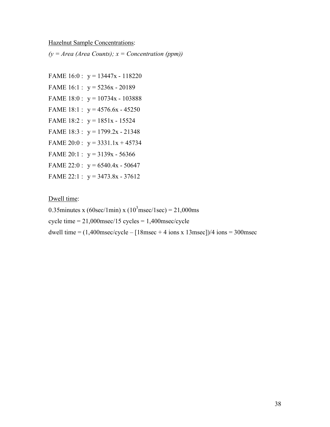#### Hazelnut Sample Concentrations:

 $(y = Area (Area Counts); x = Concentration (ppm))$ 

FAME  $16:0$ :  $y = 13447x - 118220$ FAME  $16:1$ :  $y = 5236x - 20189$ FAME  $18:0$ :  $y = 10734x - 103888$ FAME 18:1 :  $y = 4576.6x - 45250$ FAME  $18:2$ :  $y = 1851x - 15524$ FAME  $18:3: y = 1799.2x - 21348$ FAME 20:0 :  $y = 3331.1x + 45734$ FAME 20:1 :  $y = 3139x - 56366$ FAME 22:0 :  $y = 6540.4x - 50647$ FAME 22:1 :  $y = 3473.8x - 37612$ 

#### Dwell time:

0.35minutes x (60sec/1min) x ( $10^3$ msec/1sec) = 21,000ms

cycle time  $= 21,000$ msec $/15$  cycles  $= 1,400$ msec $/$ cycle

dwell time =  $(1,400$ msec/cycle –  $[18$ msec + 4 ions x 13msec])/4 ions = 300msec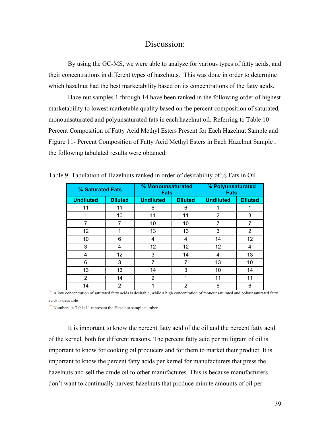## Discussion:

By using the GC-MS, we were able to analyze for various types of fatty acids, and their concentrations in different types of hazelnuts. This was done in order to determine which hazelnut had the best marketability based on its concentrations of the fatty acids.

Hazelnut samples 1 through 14 have been ranked in the following order of highest marketability to lowest marketable quality based on the percent composition of saturated, monounsaturated and polyunsaturated fats in each hazelnut oil. Referring to Table 10 – Percent Composition of Fatty Acid Methyl Esters Present for Each Hazelnut Sample and Figure 11- Percent Composition of Fatty Acid Methyl Esters in Each Hazelnut Sample , the following tabulated results were obtained:

| % Saturated Fats |                | % Monounsaturated<br><b>Fats</b> |                   | % Polyunsaturated<br><b>Fats</b> |                |  |
|------------------|----------------|----------------------------------|-------------------|----------------------------------|----------------|--|
| <b>Undiluted</b> | <b>Diluted</b> | <b>Undiluted</b>                 | <b>Diluted</b>    | <b>Undiluted</b>                 | <b>Diluted</b> |  |
| 11               | 11             | 6                                | 6                 | 1                                |                |  |
|                  | 10             | 11                               | 11                | 2                                | 3              |  |
|                  | 7              | 10                               | 10                | 7                                | $\overline{7}$ |  |
| 12               | 1              | 13                               | 13                | 3                                | $\overline{2}$ |  |
| 10               | 6              | 4                                | 4                 | 14                               | 12             |  |
| 3                | 4              | 12                               | $12 \overline{ }$ | 12                               | 4              |  |
| 4                | 12             | 3                                | 14                | 4                                | 13             |  |
| 6                | 3              | 7                                | 7                 | 13                               | 10             |  |
| 13               | 13             | 14                               | 3                 | 10                               | 14             |  |
| $\overline{2}$   | 14             | $\overline{2}$                   | 1                 | 11                               | 11             |  |
| 14               | 2              |                                  | $\overline{2}$    | 6                                | 6              |  |

Table 9: Tabulation of Hazelnuts ranked in order of desirability of % Fats in Oil

\*\*\* A low concentration of saturated fatty acids is desirable, while a high concentration of monounsaturated and polyunsaturated fatty acids is desirable

\*\*\* Numbers in Table 11 represent the Hazelnut sample number

It is important to know the percent fatty acid of the oil and the percent fatty acid of the kernel, both for different reasons. The percent fatty acid per milligram of oil is important to know for cooking oil producers and for them to market their product. It is important to know the percent fatty acids per kernel for manufacturers that press the hazelnuts and sell the crude oil to other manufactures. This is because manufacturers don't want to continually harvest hazelnuts that produce minute amounts of oil per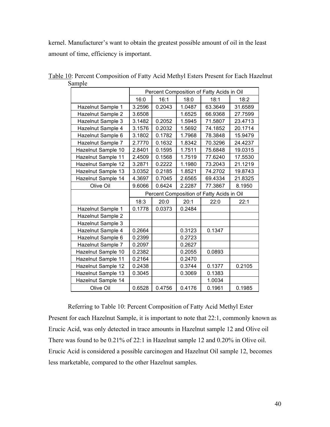kernel. Manufacturer's want to obtain the greatest possible amount of oil in the least amount of time, efficiency is important.

|                    | Percent Composition of Fatty Acids in Oil |        |        |         |         |  |
|--------------------|-------------------------------------------|--------|--------|---------|---------|--|
|                    | 16:0                                      | 16:1   | 18:0   | 18:1    | 18:2    |  |
| Hazelnut Sample 1  | 3.2596                                    | 0.2043 | 1.0487 | 63.3649 | 31.6589 |  |
| Hazelnut Sample 2  | 3.6508                                    |        | 1.6525 | 66.9368 | 27.7599 |  |
| Hazelnut Sample 3  | 3.1482                                    | 0.2052 | 1.5945 | 71.5807 | 23.4713 |  |
| Hazelnut Sample 4  | 3.1576                                    | 0.2032 | 1.5692 | 74.1852 | 20.1714 |  |
| Hazelnut Sample 6  | 3.1802                                    | 0.1782 | 1.7968 | 78.3848 | 15.9479 |  |
| Hazelnut Sample 7  | 2.7770                                    | 0.1632 | 1.8342 | 70.3296 | 24.4237 |  |
| Hazelnut Sample 10 | 2.8401                                    | 0.1595 | 1.7511 | 75.6848 | 19.0315 |  |
| Hazelnut Sample 11 | 2.4509                                    | 0.1568 | 1.7519 | 77.6240 | 17.5530 |  |
| Hazelnut Sample 12 | 3.2871                                    | 0.2222 | 1.1980 | 73.2043 | 21.1219 |  |
| Hazelnut Sample 13 | 3.0352                                    | 0.2185 | 1.8521 | 74.2702 | 19.8743 |  |
| Hazelnut Sample 14 | 4.3697                                    | 0.7045 | 2.6565 | 69.4334 | 21.8325 |  |
| Olive Oil          | 9.6066                                    | 0.6424 | 2.2287 | 77.3867 | 8.1950  |  |
|                    | Percent Composition of Fatty Acids in Oil |        |        |         |         |  |
|                    | 18:3                                      | 20:0   | 20:1   | 22:0    | 22:1    |  |
| Hazelnut Sample 1  | 0.1778                                    | 0.0373 | 0.2484 |         |         |  |
| Hazelnut Sample 2  |                                           |        |        |         |         |  |
| Hazelnut Sample 3  |                                           |        |        |         |         |  |
| Hazelnut Sample 4  | 0.2664                                    |        | 0.3123 | 0.1347  |         |  |
| Hazelnut Sample 6  | 0.2399                                    |        | 0.2723 |         |         |  |
| Hazelnut Sample 7  | 0.2097                                    |        | 0.2627 |         |         |  |
| Hazelnut Sample 10 | 0.2382                                    |        | 0.2055 | 0.0893  |         |  |
| Hazelnut Sample 11 | 0.2164                                    |        | 0.2470 |         |         |  |
| Hazelnut Sample 12 | 0.2438                                    |        | 0.3744 | 0.1377  | 0.2105  |  |
| Hazelnut Sample 13 | 0.3045                                    |        | 0.3069 | 0.1383  |         |  |
| Hazelnut Sample 14 |                                           |        |        | 1.0034  |         |  |
| Olive Oil          | 0.6528                                    | 0.4756 | 0.4176 | 0.1961  | 0.1985  |  |

Table 10: Percent Composition of Fatty Acid Methyl Esters Present for Each Hazelnut Sample

Referring to Table 10: Percent Composition of Fatty Acid Methyl Ester Present for each Hazelnut Sample, it is important to note that 22:1, commonly known as Erucic Acid, was only detected in trace amounts in Hazelnut sample 12 and Olive oil There was found to be 0.21% of 22:1 in Hazelnut sample 12 and 0.20% in Olive oil. Erucic Acid is considered a possible carcinogen and Hazelnut Oil sample 12, becomes less marketable, compared to the other Hazelnut samples.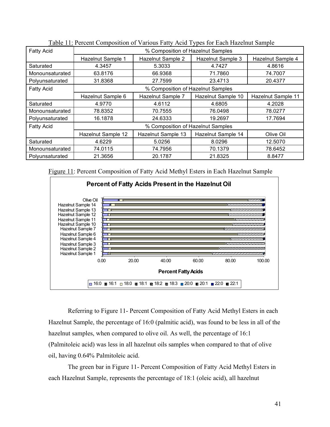| <b>Fatty Acid</b> | % Composition of Hazelnut Samples |                    |                    |                    |  |  |  |  |
|-------------------|-----------------------------------|--------------------|--------------------|--------------------|--|--|--|--|
|                   | Hazelnut Sample 1                 | Hazelnut Sample 2  | Hazelnut Sample 3  | Hazelnut Sample 4  |  |  |  |  |
| Saturated         | 4.3457                            | 5.3033             | 4.7427             | 4.8616             |  |  |  |  |
| Monounsaturated   | 63.8176                           | 66.9368            | 71.7860            | 74.7007            |  |  |  |  |
| Polyunsaturated   | 31.8368                           | 27.7599            | 23.4713            | 20.4377            |  |  |  |  |
| <b>Fatty Acid</b> | % Composition of Hazelnut Samples |                    |                    |                    |  |  |  |  |
|                   | Hazelnut Sample 6                 | Hazelnut Sample 7  | Hazelnut Sample 10 | Hazelnut Sample 11 |  |  |  |  |
| Saturated         | 4.9770                            | 4.6112             | 4.6805             | 4.2028             |  |  |  |  |
| Monounsaturated   | 78.8352                           | 70.7555            | 76.0498            | 78.0277            |  |  |  |  |
| Polyunsaturated   | 16.1878                           | 24.6333            | 19.2697            | 17.7694            |  |  |  |  |
| <b>Fatty Acid</b> | % Composition of Hazelnut Samples |                    |                    |                    |  |  |  |  |
|                   | Hazelnut Sample 12                | Hazelnut Sample 13 | Hazelnut Sample 14 | Olive Oil          |  |  |  |  |
| Saturated         | 4.6229                            | 5.0256             | 8.0296             | 12.5070            |  |  |  |  |
| Monounsaturated   | 74.0115                           | 74.7956            | 70.1379            | 78.6452            |  |  |  |  |
| Polyunsaturated   | 21.3656                           | 20.1787            | 21.8325            | 8.8477             |  |  |  |  |

Table 11: Percent Composition of Various Fatty Acid Types for Each Hazelnut Sample

Figure 11: Percent Composition of Fatty Acid Methyl Esters in Each Hazelnut Sample



Referring to Figure 11- Percent Composition of Fatty Acid Methyl Esters in each Hazelnut Sample, the percentage of 16:0 (palmitic acid), was found to be less in all of the hazelnut samples, when compared to olive oil. As well, the percentage of 16:1 (Palmitoleic acid) was less in all hazelnut oils samples when compared to that of olive oil, having 0.64% Palmitoleic acid.

The green bar in Figure 11- Percent Composition of Fatty Acid Methyl Esters in each Hazelnut Sample, represents the percentage of 18:1 (oleic acid), all hazelnut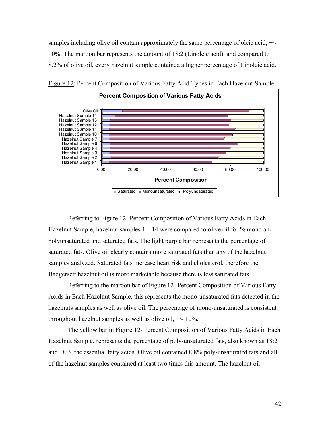samples including olive oil contain approximately the same percentage of oleic acid, +/- 10%. The maroon bar represents the amount of 18:2 (Linoleic acid), and compared to 8.2% of olive oil, every hazelnut sample contained a higher percentage of Linoleic acid.



Figure 12: Percent Composition of Various Fatty Acid Types in Each Hazelnut Sample

Referring to Figure 12- Percent Composition of Various Fatty Acids in Each Hazelnut Sample, hazelnut samples  $1 - 14$  were compared to olive oil for  $\%$  mono and polyunsaturated and saturated fats. The light purple bar represents the percentage of saturated fats. Olive oil clearly contains more saturated fats than any of the hazelnut samples analyzed. Saturated fats increase heart risk and cholesterol, therefore the Badgersett hazelnut oil is more marketable because there is less saturated fats.

Referring to the maroon bar of Figure 12- Percent Composition of Various Fatty Acids in Each Hazelnut Sample, this represents the mono-unsaturated fats detected in the hazelnuts samples as well as olive oil. The percentage of mono-unsaturated is consistent throughout hazelnut samples as well as olive oil, +/- 10%.

The yellow bar in Figure 12- Percent Composition of Various Fatty Acids in Each Hazelnut Sample, represents the percentage of poly-unsaturated fats, also known as 18:2 and 18:3, the essential fatty acids. Olive oil contained 8.8% poly-unsaturated fats and all of the hazelnut samples contained at least two times this amount. The hazelnut oil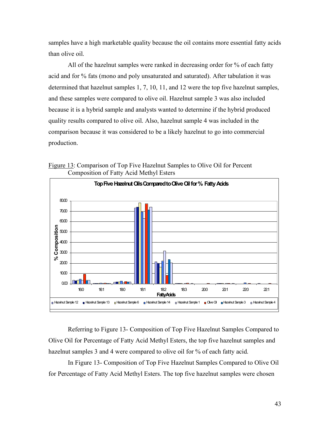samples have a high marketable quality because the oil contains more essential fatty acids than olive oil.

All of the hazelnut samples were ranked in decreasing order for % of each fatty acid and for % fats (mono and poly unsaturated and saturated). After tabulation it was determined that hazelnut samples 1, 7, 10, 11, and 12 were the top five hazelnut samples, and these samples were compared to olive oil. Hazelnut sample 3 was also included because it is a hybrid sample and analysts wanted to determine if the hybrid produced quality results compared to olive oil. Also, hazelnut sample 4 was included in the comparison because it was considered to be a likely hazelnut to go into commercial production.



Figure 13: Comparison of Top Five Hazelnut Samples to Olive Oil for Percent Composition of Fatty Acid Methyl Esters

Referring to Figure 13- Composition of Top Five Hazelnut Samples Compared to Olive Oil for Percentage of Fatty Acid Methyl Esters, the top five hazelnut samples and hazelnut samples 3 and 4 were compared to olive oil for % of each fatty acid.

In Figure 13- Composition of Top Five Hazelnut Samples Compared to Olive Oil for Percentage of Fatty Acid Methyl Esters. The top five hazelnut samples were chosen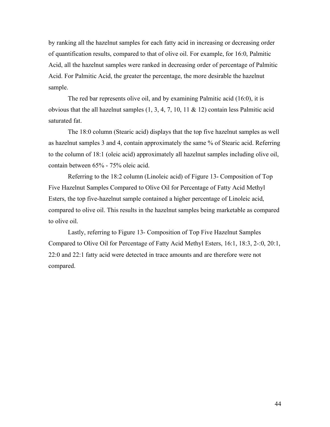by ranking all the hazelnut samples for each fatty acid in increasing or decreasing order of quantification results, compared to that of olive oil. For example, for 16:0, Palmitic Acid, all the hazelnut samples were ranked in decreasing order of percentage of Palmitic Acid. For Palmitic Acid, the greater the percentage, the more desirable the hazelnut sample.

The red bar represents olive oil, and by examining Palmitic acid (16:0), it is obvious that the all hazelnut samples  $(1, 3, 4, 7, 10, 11 \& 12)$  contain less Palmitic acid saturated fat.

The 18:0 column (Stearic acid) displays that the top five hazelnut samples as well as hazelnut samples 3 and 4, contain approximately the same % of Stearic acid. Referring to the column of 18:1 (oleic acid) approximately all hazelnut samples including olive oil, contain between 65% - 75% oleic acid.

Referring to the 18:2 column (Linoleic acid) of Figure 13- Composition of Top Five Hazelnut Samples Compared to Olive Oil for Percentage of Fatty Acid Methyl Esters, the top five-hazelnut sample contained a higher percentage of Linoleic acid, compared to olive oil. This results in the hazelnut samples being marketable as compared to olive oil.

Lastly, referring to Figure 13- Composition of Top Five Hazelnut Samples Compared to Olive Oil for Percentage of Fatty Acid Methyl Esters, 16:1, 18:3, 2-:0, 20:1, 22:0 and 22:1 fatty acid were detected in trace amounts and are therefore were not compared.